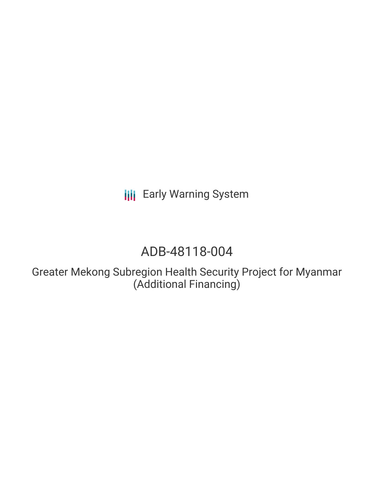**III** Early Warning System

# ADB-48118-004

Greater Mekong Subregion Health Security Project for Myanmar (Additional Financing)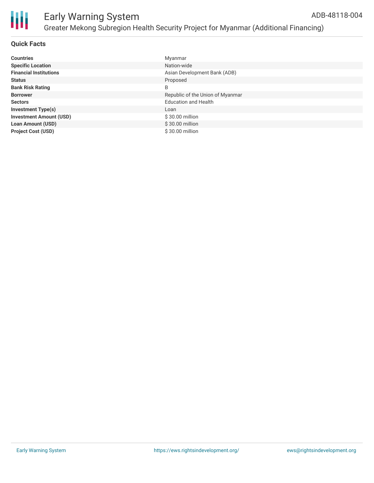

# **Quick Facts**

| <b>Countries</b>               | Myanmar                          |
|--------------------------------|----------------------------------|
| <b>Specific Location</b>       | Nation-wide                      |
| <b>Financial Institutions</b>  | Asian Development Bank (ADB)     |
| <b>Status</b>                  | Proposed                         |
| <b>Bank Risk Rating</b>        | B                                |
| <b>Borrower</b>                | Republic of the Union of Myanmar |
| <b>Sectors</b>                 | <b>Education and Health</b>      |
| <b>Investment Type(s)</b>      | Loan                             |
| <b>Investment Amount (USD)</b> | \$30.00 million                  |
| <b>Loan Amount (USD)</b>       | \$30.00 million                  |
| <b>Project Cost (USD)</b>      | \$30.00 million                  |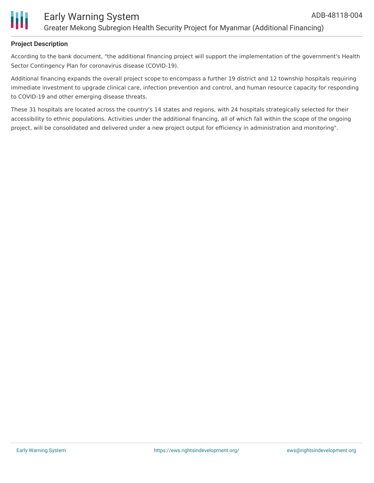

### **Project Description**

According to the bank document, "the additional financing project will support the implementation of the government's Health Sector Contingency Plan for coronavirus disease (COVID-19).

Additional financing expands the overall project scope to encompass a further 19 district and 12 township hospitals requiring immediate investment to upgrade clinical care, infection prevention and control, and human resource capacity for responding to COVID-19 and other emerging disease threats.

These 31 hospitals are located across the country's 14 states and regions, with 24 hospitals strategically selected for their accessibility to ethnic populations. Activities under the additional financing, all of which fall within the scope of the ongoing project, will be consolidated and delivered under a new project output for efficiency in administration and monitoring".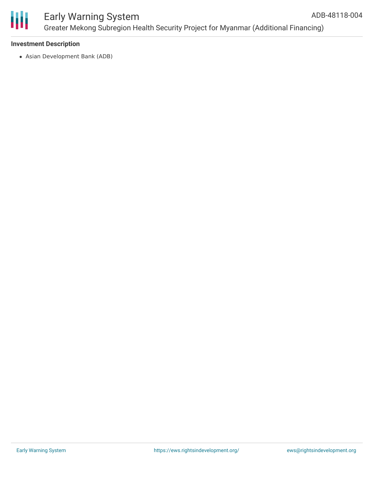

#### Early Warning System Greater Mekong Subregion Health Security Project for Myanmar (Additional Financing) ADB-48118-004

# **Investment Description**

Asian Development Bank (ADB)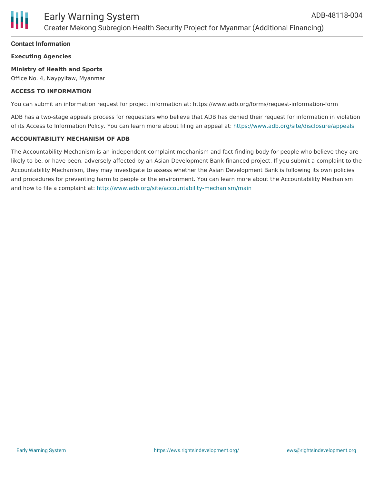

### **Contact Information**

**Executing Agencies**

#### **Ministry of Health and Sports**

Office No. 4, Naypyitaw, Myanmar

#### **ACCESS TO INFORMATION**

You can submit an information request for project information at: https://www.adb.org/forms/request-information-form

ADB has a two-stage appeals process for requesters who believe that ADB has denied their request for information in violation of its Access to Information Policy. You can learn more about filing an appeal at: <https://www.adb.org/site/disclosure/appeals>

#### **ACCOUNTABILITY MECHANISM OF ADB**

The Accountability Mechanism is an independent complaint mechanism and fact-finding body for people who believe they are likely to be, or have been, adversely affected by an Asian Development Bank-financed project. If you submit a complaint to the Accountability Mechanism, they may investigate to assess whether the Asian Development Bank is following its own policies and procedures for preventing harm to people or the environment. You can learn more about the Accountability Mechanism and how to file a complaint at: <http://www.adb.org/site/accountability-mechanism/main>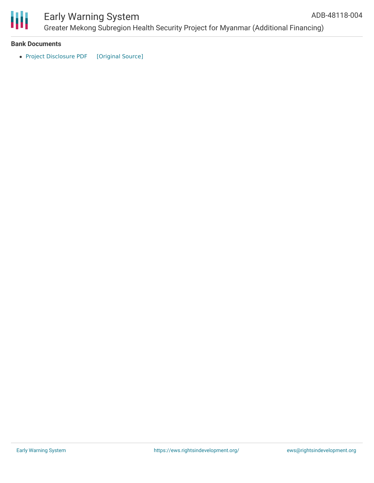

# Early Warning System

Greater Mekong Subregion Health Security Project for Myanmar (Additional Financing) ADB-48118-004

#### **Bank Documents**

• Project [Disclosure](https://ewsdata.rightsindevelopment.org/files/documents/04/ADB-48118-004.pdf) PDF [\[Original](https://www.adb.org/printpdf/projects/48118-004/main) Source]